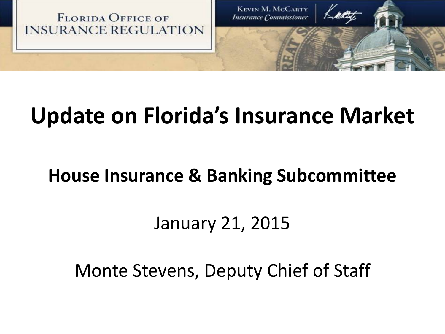

# **Update on Florida's Insurance Market**

## **House Insurance & Banking Subcommittee**

# January 21, 2015

Monte Stevens, Deputy Chief of Staff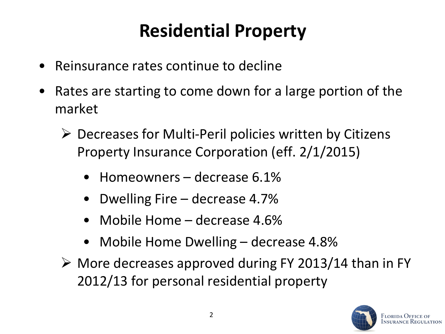# **Residential Property**

- Reinsurance rates continue to decline
- Rates are starting to come down for a large portion of the market
	- $\triangleright$  Decreases for Multi-Peril policies written by Citizens Property Insurance Corporation (eff. 2/1/2015)
		- Homeowners decrease 6.1%
		- Dwelling Fire decrease 4.7%
		- Mobile Home decrease 4.6%
		- Mobile Home Dwelling decrease 4.8%
	- $\triangleright$  More decreases approved during FY 2013/14 than in FY 2012/13 for personal residential property

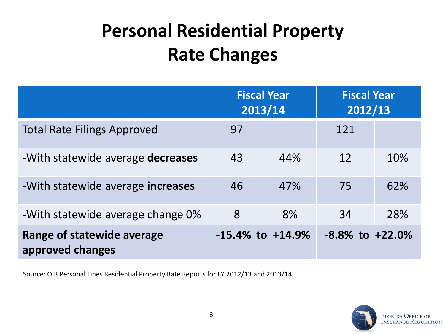# **Personal Residential Property Rate Changes**

|                                                | <b>Fiscal Year</b><br>2013/14 |     | <b>Fiscal Year</b><br>2012/13 |     |
|------------------------------------------------|-------------------------------|-----|-------------------------------|-----|
| <b>Total Rate Filings Approved</b>             | 97                            |     | 121                           |     |
| -With statewide average decreases              | 43                            | 44% | 12                            | 10% |
| -With statewide average increases              | 46                            | 47% | 75                            | 62% |
| -With statewide average change 0%              | 8                             | 8%  | 34                            | 28% |
| Range of statewide average<br>approved changes | $-15.4\%$ to $+14.9\%$        |     | $-8.8\%$ to $+22.0\%$         |     |

Source: OIR Personal Lines Residential Property Rate Reports for FY 2012/13 and 2013/14

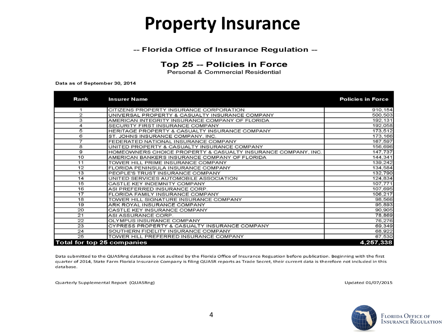### **Property Insurance**

#### -- Florida Office of Insurance Regulation --

#### Top 25 -- Policies in Force

Personal & Commercial Residential

Data as of September 30, 2014

| Rank | <b>Insurer Name</b>                                           | <b>Policies in Force</b> |
|------|---------------------------------------------------------------|--------------------------|
| 1    | CITIZENS PROPERTY INSURANCE CORPORATION                       | 910, 154                 |
| 2    | UNIVERSAL PROPERTY & CASUALTY INSURANCE COMPANY               | 500,503                  |
| 3    | AMERICAN INTEGRITY INSURANCE COMPANY OF FLORIDA               | 192, 131                 |
| 4    | SECURITY FIRST INSURANCE COMPANY                              | 192,058                  |
| 5    | HERITAGE PROPERTY & CASUALTY INSURANCE COMPANY                | 173,512                  |
| 6    | ST. JOHNS INSURANCE COMPANY, INC.                             | 173,166                  |
| 7    | FEDERATED NATIONAL INSURANCE COMPANY                          | 167,597                  |
| 8    | UNITED PROPERTY & CASUALTY INSURANCE COMPANY                  | 156,696                  |
| 9    | HOMEOWNERS CHOICE PROPERTY & CASUALTY INSURANCE COMPANY, INC. | 147,737                  |
| 10   | AMERICAN BANKERS INSURANCE COMPANY OF FLORIDA                 | 144,341                  |
| 11   | TOWER HILL PRIME INSURANCE COMPANY                            | 139,242                  |
| 12   | FLORIDA PENINSULA INSURANCE COMPANY                           | 134,584                  |
| 13   | PEOPLE'S TRUST INSURANCE COMPANY                              | 132,790                  |
| 14   | UNITED SERVICES AUTOMOBILE ASSOCIATION                        | 124,834                  |
| 15   | CASTLE KEY INDEMNITY COMPANY                                  | 107,771                  |
| 16   | ASI PREFERRED INSURANCE CORP.                                 | 107,695                  |
| 17   | FLORIDA FAMILY INSURANCE COMPANY                              | 106,217                  |
| 18   | TOWER HILL SIGNATURE INSURANCE COMPANY                        | 98,566                   |
| 19   | ARK ROYAL INSURANCE COMPANY                                   | 95,893                   |
| 20   | CASTLE KEY INSURANCE COMPANY                                  | 90,905                   |
| 21   | ASI ASSURANCE CORP.                                           | 78,869                   |
| 22   | OLYMPUS INSURANCE COMPANY                                     | 76,276                   |
| 23   | CYPRESS PROPERTY & CASUALTY INSURANCE COMPANY                 | 69,349                   |
| 24   | SOUTHERN FIDELITY INSURANCE COMPANY                           | 68,922                   |
| 25   | TOWER HILL PREFERRED INSURANCE COMPANY                        | 67,530                   |
|      | Total for top 25 companies                                    | 4,257,338                |

Data submitted to the QUASRng database is not audited by the Florida Office of Insurance Reguation before publication. Beginning with the first quarter of 2014, State Farm Florida Insurance Company is filing QUASR reports as Trade Secret, their current data is therefore not included in this database.

Quarterly Supplemental Report (QUASRng)

Updated 01/07/2015

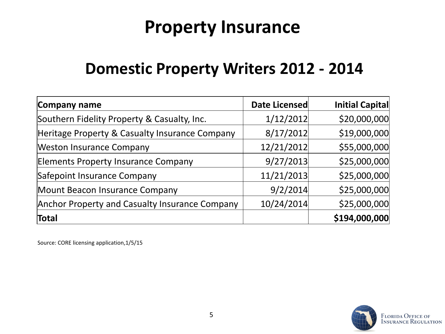## **Property Insurance**

#### **Domestic Property Writers 2012 - 2014**

| Company name                                   | Date Licensed | Initial Capital |
|------------------------------------------------|---------------|-----------------|
| Southern Fidelity Property & Casualty, Inc.    | 1/12/2012     | \$20,000,000    |
| Heritage Property & Casualty Insurance Company | 8/17/2012     | \$19,000,000    |
| <b>Weston Insurance Company</b>                | 12/21/2012    | \$55,000,000    |
| <b>Elements Property Insurance Company</b>     | 9/27/2013     | \$25,000,000    |
| Safepoint Insurance Company                    | 11/21/2013    | \$25,000,000    |
| Mount Beacon Insurance Company                 | 9/2/2014      | \$25,000,000    |
| Anchor Property and Casualty Insurance Company | 10/24/2014    | \$25,000,000    |
| Total                                          |               | \$194,000,000   |

Source: CORE licensing application,1/5/15

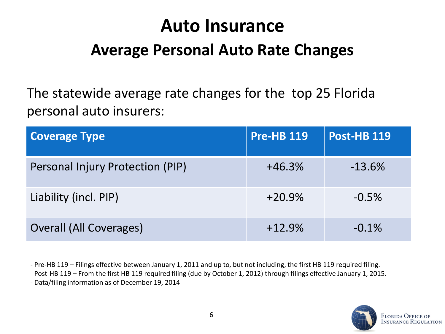## **Auto Insurance**

### **Average Personal Auto Rate Changes**

The statewide average rate changes for the top 25 Florida personal auto insurers:

| <b>Coverage Type</b>             | <b>Pre-HB 119</b> | <b>Post-HB 119</b> |
|----------------------------------|-------------------|--------------------|
| Personal Injury Protection (PIP) | $+46.3%$          | $-13.6%$           |
| Liability (incl. PIP)            | $+20.9%$          | $-0.5%$            |
| <b>Overall (All Coverages)</b>   | $+12.9%$          | $-0.1%$            |

- Pre-HB 119 – Filings effective between January 1, 2011 and up to, but not including, the first HB 119 required filing.

- Post-HB 119 – From the first HB 119 required filing (due by October 1, 2012) through filings effective January 1, 2015.

- Data/filing information as of December 19, 2014

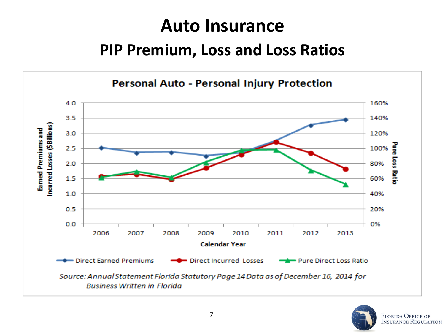# **Auto Insurance**

#### **PIP Premium, Loss and Loss Ratios**



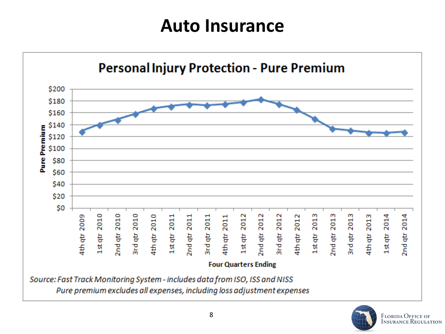## **Auto Insurance**



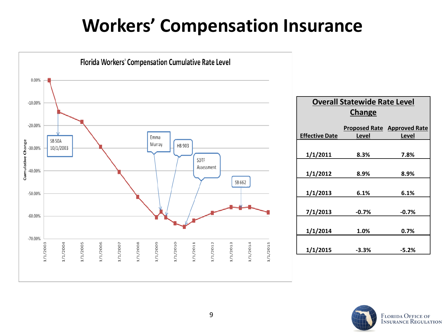# **Workers' Compensation Insurance**



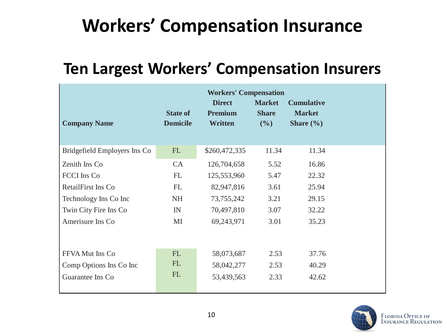# **Workers' Compensation Insurance**

### **Ten Largest Workers' Compensation Insurers**

|                              |                                    | <b>Workers' Compensation</b>                      |                                         |                                                     |  |
|------------------------------|------------------------------------|---------------------------------------------------|-----------------------------------------|-----------------------------------------------------|--|
| <b>Company Name</b>          | <b>State of</b><br><b>Domicile</b> | <b>Direct</b><br><b>Premium</b><br><b>Written</b> | <b>Market</b><br><b>Share</b><br>$($ %) | <b>Cumulative</b><br><b>Market</b><br>Share $(\% )$ |  |
| Bridgefield Employers Ins Co | FL                                 | \$260,472,335                                     | 11.34                                   | 11.34                                               |  |
| Zenith Ins Co                | CA                                 | 126,704,658                                       | 5.52                                    | 16.86                                               |  |
| <b>FCCI</b> Ins Co           | FL                                 | 125,553,960                                       | 5.47                                    | 22.32                                               |  |
| RetailFirst Ins Co           | FL                                 | 82,947,816                                        | 3.61                                    | 25.94                                               |  |
| Technology Ins Co Inc        | <b>NH</b>                          | 73, 755, 242                                      | 3.21                                    | 29.15                                               |  |
| Twin City Fire Ins Co        | IN                                 | 70,497,810                                        | 3.07                                    | 32.22                                               |  |
| Amerisure Ins Co             | MI                                 | 69,243,971                                        | 3.01                                    | 35.23                                               |  |
|                              |                                    |                                                   |                                         |                                                     |  |
| FFVA Mut Ins Co              | <b>FL</b>                          | 58,073,687                                        | 2.53                                    | 37.76                                               |  |
| Comp Options Ins Co Inc      | FL                                 | 58,042,277                                        | 2.53                                    | 40.29                                               |  |
| Guarantee Ins Co             | <b>FL</b>                          | 53,439,563                                        | 2.33                                    | 42.62                                               |  |
|                              |                                    |                                                   |                                         |                                                     |  |

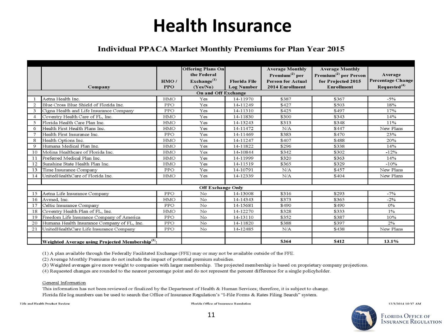## **Health Insurance**

#### **Individual PPACA Market Monthly Premiums for Plan Year 2015**

|                |                                                              |            | <b>Offering Plans On</b> |                     | <b>Average Monthly</b>       | <b>Average Monthly</b>            |                          |  |
|----------------|--------------------------------------------------------------|------------|--------------------------|---------------------|------------------------------|-----------------------------------|--------------------------|--|
|                |                                                              |            | the Federal              |                     | $\mathrm{Premium}^{(2)}$ per | Premium <sup>(2)</sup> per Person | Average                  |  |
|                |                                                              | HMO/       | Exchange <sup>(1)</sup>  | <b>Florida File</b> | <b>Person for Actual</b>     | for Projected 2015                | <b>Percentage Change</b> |  |
|                | Company                                                      | <b>PPO</b> | (Yes/No)                 | <b>Log Number</b>   | 2014 Enrollment              | <b>Enrollment</b>                 | Requested <sup>(4)</sup> |  |
|                | On and Off Exchange                                          |            |                          |                     |                              |                                   |                          |  |
|                | Aetna Health Inc.                                            | HMO        | Yes                      | 14-11970            | \$387                        | \$367                             | $-5%$                    |  |
| $\overline{2}$ | Blue Cross Blue Shield of Florida Inc.                       | PPO        | Yes                      | 14-11249            | \$427                        | \$503                             | 18%                      |  |
| 3              | Cigna Health and Life Insurance Company                      | PPO        | Yes                      | 14-11310            | \$425                        | \$497                             | 17%                      |  |
| $\overline{4}$ | Coventry Health Care of FL, Inc.                             | <b>HMO</b> | Yes                      | 14-11830            | \$300                        | \$343                             | 14%                      |  |
| 5              | Florida Health Care Plan Inc.                                | <b>HMO</b> | Yes                      | 14-13243            | \$313                        | \$348                             | 11%                      |  |
| 6              | Health First Health Plans Inc.                               | HMO        | Yes                      | 14-11472            | N/A                          | \$447                             | New Plans                |  |
| $\overline{7}$ | Health First Insurance Inc.                                  | PPO        | Yes                      | 14-11469            | \$383                        | \$470                             | 23%                      |  |
| 8              | Health Options Inc.                                          | HMO        | Yes                      | 14-11247            | \$407                        | \$488                             | 20%                      |  |
| 9              | Humana Medical Plan Inc.                                     | <b>HMO</b> | Yes                      | 14-11822            | \$296                        | \$338                             | 14%                      |  |
| 10             | Molina Healthcare of Florida Inc.                            | HMO        | Yes                      | 14-10844            | \$342                        | \$302                             | $-12%$                   |  |
| 11             | Preferred Medical Plan Inc.                                  | HMO        | Yes                      | 14-11999            | \$320                        | \$363                             | 14%                      |  |
| 12             | Sunshine State Health Plan Inc.                              | <b>HMO</b> | Yes                      | 14-11519            | \$365                        | \$329                             | $-10%$                   |  |
| 13             | Time Insurance Company                                       | PPO        | Yes                      | 14-10791            | N/A                          | \$457                             | New Plans                |  |
| 14             | UnitedHealthCare of Florida Inc.                             | <b>HMO</b> | Yes                      | 14-12339            | N/A                          | \$404                             | New Plans                |  |
|                |                                                              |            |                          |                     |                              |                                   |                          |  |
|                | <b>Off Exchange Only</b>                                     |            |                          |                     |                              |                                   |                          |  |
| 15             | Aetna Life Insurance Company                                 | PPO        | No.                      | 14-13008            | \$316                        | \$293                             | $-7%$                    |  |
| 16             | Avmed, Inc.                                                  | HMO        | No                       | 14-14343            | \$373                        | \$365                             | $-2%$                    |  |
| 17             | Celtic Insurance Company                                     | PPO        | No                       | 14-15681            | \$490                        | \$490                             | 0%                       |  |
| 18             | Coventry Health Plan of FL, Inc.                             | HMO        | No                       | 14-12270            | \$328                        | \$333                             | 1%                       |  |
| 19             | Freedom Life Insurance Company of America                    | PPO        | No                       | 14-13110            | \$352                        | \$387                             | 10%                      |  |
| 20             | Humana Health Insurance Company of FL, Inc.                  | PPO        | No                       | 14-11820            | \$388                        | \$397                             | 2%                       |  |
| 21             | UnitedHealthCare Life Insurance Company                      | <b>PPO</b> | No                       | 14-12485            | N/A                          | \$438                             | New Plans                |  |
|                |                                                              |            |                          |                     |                              |                                   |                          |  |
|                | Weighted Average using Projected Membership <sup>(3)</sup> : |            |                          |                     | \$364                        | \$412                             | 13.1%                    |  |

(1) A plan available through the Federally Facilitated Exchange (FFE) may or may not be available outside of the FFE.

(2) Average Monthly Premiums do not include the impact of potential premium subsidies.

(3) Weighted averages give more weight to companies with larger membership. The projected membership is based on proprietary company projections.

(4) Requested changes are rounded to the nearest percentage point and do not represent the percent difference for a single policyholder.

General Information

This information has not been reviewed or finalized by the Department of Health & Human Services; therefore, it is subject to change. Florida file log numbers can be used to search the Office of Insurance Regulation's "1-File Forms & Rates Filing Search" system.

**Life and Health Product Review** 

Florida Office of Insurance Regulation



12/3/2014 10:37 AM